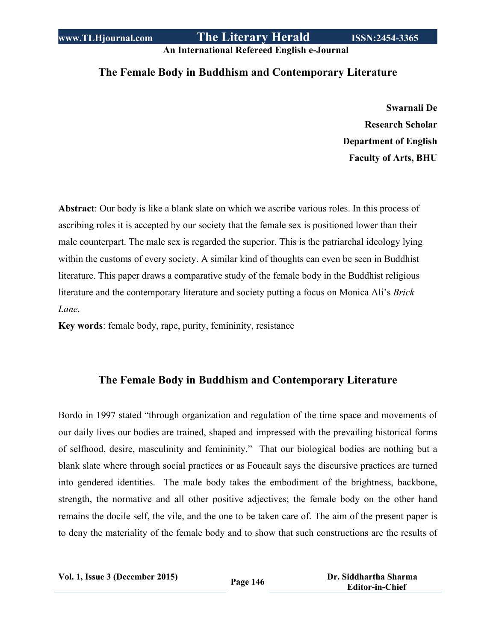**An International Refereed English e-Journal**

## **The Female Body in Buddhism and Contemporary Literature**

**Swarnali De Research Scholar Department of English Faculty of Arts, BHU**

**Abstract**: Our body is like a blank slate on which we ascribe various roles. In this process of ascribing roles it is accepted by our society that the female sex is positioned lower than their male counterpart. The male sex is regarded the superior. This is the patriarchal ideology lying within the customs of every society. A similar kind of thoughts can even be seen in Buddhist literature. This paper draws a comparative study of the female body in the Buddhist religious literature and the contemporary literature and society putting a focus on Monica Ali's *Brick Lane.*

**Key words**: female body, rape, purity, femininity, resistance

## **The Female Body in Buddhism and Contemporary Literature**

Bordo in 1997 stated "through organization and regulation of the time space and movements of our daily lives our bodies are trained, shaped and impressed with the prevailing historical forms of selfhood, desire, masculinity and femininity." That our biological bodies are nothing but a blank slate where through social practices or as Foucault says the discursive practices are turned into gendered identities. The male body takes the embodiment of the brightness, backbone, strength, the normative and all other positive adjectives; the female body on the other hand remains the docile self, the vile, and the one to be taken care of. The aim of the present paper is to deny the materiality of the female body and to show that such constructions are the results of

**Vol. 1, Issue <sup>3</sup> (December 2015) Page <sup>146</sup> Dr. Siddhartha Sharma**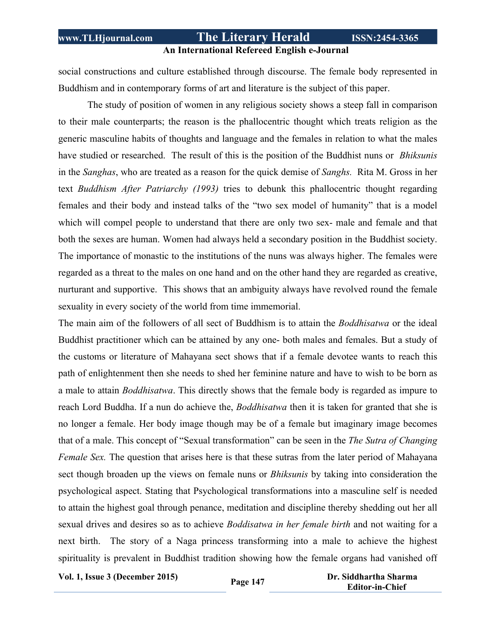### **An International Refereed English e-Journal**

social constructions and culture established through discourse. The female body represented in Buddhism and in contemporary forms of art and literature is the subject of this paper.

The study of position of women in any religious society shows a steep fall in comparison to their male counterparts; the reason is the phallocentric thought which treats religion as the generic masculine habits of thoughts and language and the females in relation to what the males have studied or researched. The result of this is the position of the Buddhist nuns or *Bhiksunis* in the *Sanghas*, who are treated as a reason for the quick demise of *Sanghs.* Rita M. Gross in her text *Buddhism After Patriarchy (1993)* tries to debunk this phallocentric thought regarding females and their body and instead talks of the "two sex model of humanity" that is a model which will compel people to understand that there are only two sex- male and female and that both the sexes are human. Women had always held a secondary position in the Buddhist society. The importance of monastic to the institutions of the nuns was always higher. The females were regarded as a threat to the males on one hand and on the other hand they are regarded as creative, nurturant and supportive. This shows that an ambiguity always have revolved round the female sexuality in every society of the world from time immemorial.

The main aim of the followers of all sect of Buddhism is to attain the *Boddhisatwa* or the ideal Buddhist practitioner which can be attained by any one- both males and females. But a study of the customs or literature of Mahayana sect shows that if a female devotee wants to reach this path of enlightenment then she needs to shed her feminine nature and have to wish to be born as a male to attain *Boddhisatwa*. This directly shows that the female body is regarded as impure to reach Lord Buddha. If a nun do achieve the, *Boddhisatwa* then it is taken for granted that she is no longer a female. Her body image though may be of a female but imaginary image becomes that of a male. This concept of "Sexual transformation" can be seen in the *The Sutra of Changing Female Sex.* The question that arises here is that these sutras from the later period of Mahayana sect though broaden up the views on female nuns or *Bhiksunis* by taking into consideration the psychological aspect. Stating that Psychological transformations into a masculine self is needed to attain the highest goal through penance, meditation and discipline thereby shedding out her all sexual drives and desires so as to achieve *Boddisatwa in her female birth* and not waiting for a next birth. The story of a Naga princess transforming into a male to achieve the highest spirituality is prevalent in Buddhist tradition showing how the female organs had vanished off

**Vol. 1, Issue <sup>3</sup> (December 2015) Page <sup>147</sup> Dr. Siddhartha Sharma**

 **Editor-in-Chief**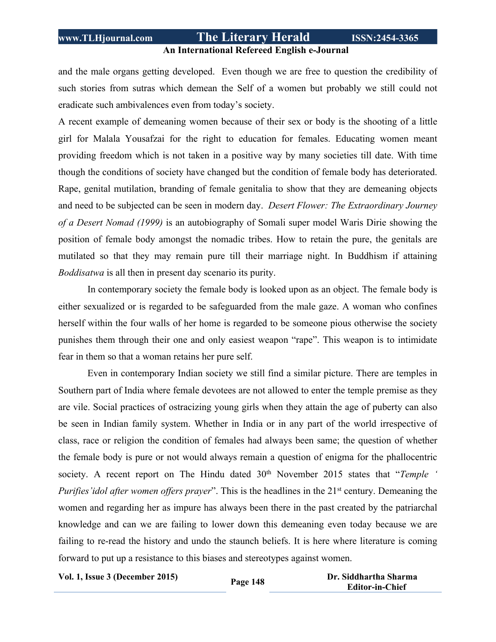#### **An International Refereed English e-Journal**

and the male organs getting developed. Even though we are free to question the credibility of such stories from sutras which demean the Self of a women but probably we still could not eradicate such ambivalences even from today's society.

A recent example of demeaning women because of their sex or body is the shooting of a little girl for Malala Yousafzai for the right to education for females. Educating women meant providing freedom which is not taken in a positive way by many societies till date. With time though the conditions of society have changed but the condition of female body has deteriorated. Rape, genital mutilation, branding of female genitalia to show that they are demeaning objects and need to be subjected can be seen in modern day. *Desert Flower: The Extraordinary Journey of a Desert Nomad (1999)* is an autobiography of Somali super model Waris Dirie showing the position of female body amongst the nomadic tribes. How to retain the pure, the genitals are mutilated so that they may remain pure till their marriage night. In Buddhism if attaining *Boddisatwa* is all then in present day scenario its purity.

In contemporary society the female body is looked upon as an object. The female body is either sexualized or is regarded to be safeguarded from the male gaze. A woman who confines herself within the four walls of her home is regarded to be someone pious otherwise the society punishes them through their one and only easiest weapon "rape". This weapon is to intimidate fear in them so that a woman retains her pure self.

Even in contemporary Indian society we still find a similar picture. There are temples in Southern part of India where female devotees are not allowed to enter the temple premise as they are vile. Social practices of ostracizing young girls when they attain the age of puberty can also be seen in Indian family system. Whether in India or in any part of the world irrespective of class, race or religion the condition of females had always been same; the question of whether the female body is pure or not would always remain a question of enigma for the phallocentric society. A recent report on The Hindu dated 30<sup>th</sup> November 2015 states that "*Temple* ' *Purifies'idol after women offers prayer*". This is the headlines in the 21st century. Demeaning the women and regarding her as impure has always been there in the past created by the patriarchal knowledge and can we are failing to lower down this demeaning even today because we are failing to re-read the history and undo the staunch beliefs. It is here where literature is coming forward to put up a resistance to this biases and stereotypes against women.

**Vol. 1, Issue <sup>3</sup> (December 2015) Page <sup>148</sup> Dr. Siddhartha Sharma**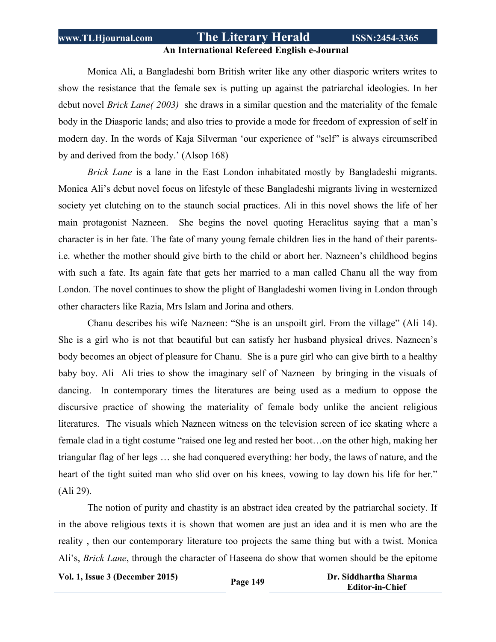### **An International Refereed English e-Journal**

Monica Ali, a Bangladeshi born British writer like any other diasporic writers writes to show the resistance that the female sex is putting up against the patriarchal ideologies. In her debut novel *Brick Lane( 2003)* she draws in a similar question and the materiality of the female body in the Diasporic lands; and also tries to provide a mode for freedom of expression of self in modern day. In the words of Kaja Silverman 'our experience of "self" is always circumscribed by and derived from the body.' (Alsop 168)

*Brick Lane* is a lane in the East London inhabitated mostly by Bangladeshi migrants. Monica Ali's debut novel focus on lifestyle of these Bangladeshi migrants living in westernized society yet clutching on to the staunch social practices. Ali in this novel shows the life of her main protagonist Nazneen. She begins the novel quoting Heraclitus saying that a man's character is in her fate. The fate of many young female children lies in the hand of their parentsi.e. whether the mother should give birth to the child or abort her. Nazneen's childhood begins with such a fate. Its again fate that gets her married to a man called Chanu all the way from London. The novel continues to show the plight of Bangladeshi women living in London through other characters like Razia, Mrs Islam and Jorina and others.

Chanu describes his wife Nazneen: "She is an unspoilt girl. From the village" (Ali 14). She is a girl who is not that beautiful but can satisfy her husband physical drives. Nazneen's body becomes an object of pleasure for Chanu. She is a pure girl who can give birth to a healthy baby boy. Ali Ali tries to show the imaginary self of Nazneen by bringing in the visuals of dancing. In contemporary times the literatures are being used as a medium to oppose the discursive practice of showing the materiality of female body unlike the ancient religious literatures. The visuals which Nazneen witness on the television screen of ice skating where a female clad in a tight costume "raised one leg and rested her boot…on the other high, making her triangular flag of her legs … she had conquered everything: her body, the laws of nature, and the heart of the tight suited man who slid over on his knees, vowing to lay down his life for her." (Ali 29).

The notion of purity and chastity is an abstract idea created by the patriarchal society. If in the above religious texts it is shown that women are just an idea and it is men who are the reality , then our contemporary literature too projects the same thing but with a twist. Monica Ali's, *Brick Lane*, through the character of Haseena do show that women should be the epitome

```
Vol. 1, Issue 3 (December 2015) Page 149 Dr. Siddhartha Sharma
```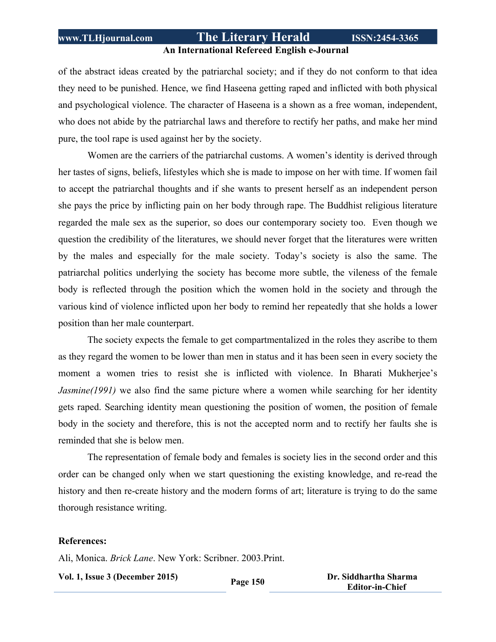### **An International Refereed English e-Journal**

of the abstract ideas created by the patriarchal society; and if they do not conform to that idea they need to be punished. Hence, we find Haseena getting raped and inflicted with both physical and psychological violence. The character of Haseena is a shown as a free woman, independent, who does not abide by the patriarchal laws and therefore to rectify her paths, and make her mind pure, the tool rape is used against her by the society.

Women are the carriers of the patriarchal customs. A women's identity is derived through her tastes of signs, beliefs, lifestyles which she is made to impose on her with time. If women fail to accept the patriarchal thoughts and if she wants to present herself as an independent person she pays the price by inflicting pain on her body through rape. The Buddhist religious literature regarded the male sex as the superior, so does our contemporary society too. Even though we question the credibility of the literatures, we should never forget that the literatures were written by the males and especially for the male society. Today's society is also the same. The patriarchal politics underlying the society has become more subtle, the vileness of the female body is reflected through the position which the women hold in the society and through the various kind of violence inflicted upon her body to remind her repeatedly that she holds a lower position than her male counterpart.

The society expects the female to get compartmentalized in the roles they ascribe to them as they regard the women to be lower than men in status and it has been seen in every society the moment a women tries to resist she is inflicted with violence. In Bharati Mukherjee's *Jasmine(1991)* we also find the same picture where a women while searching for her identity gets raped. Searching identity mean questioning the position of women, the position of female body in the society and therefore, this is not the accepted norm and to rectify her faults she is reminded that she is below men.

The representation of female body and females is society lies in the second order and this order can be changed only when we start questioning the existing knowledge, and re-read the history and then re-create history and the modern forms of art; literature is trying to do the same thorough resistance writing.

### **References:**

Ali, Monica. *Brick Lane*. New York: Scribner. 2003.Print.

**Vol. 1, Issue <sup>3</sup> (December 2015) Page <sup>150</sup> Dr. Siddhartha Sharma Editor-in-Chief**